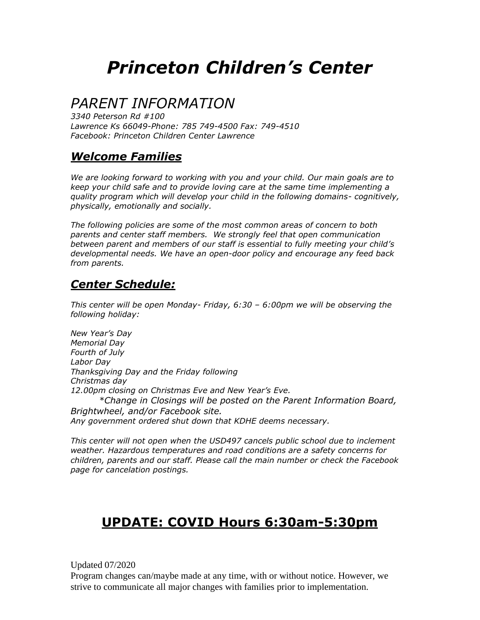# *Princeton Children's Center*

# *PARENT INFORMATION*

*3340 Peterson Rd #100 Lawrence Ks 66049-Phone: 785 749-4500 Fax: 749-4510 Facebook: Princeton Children Center Lawrence*

### *Welcome Families*

*We are looking forward to working with you and your child. Our main goals are to keep your child safe and to provide loving care at the same time implementing a quality program which will develop your child in the following domains- cognitively, physically, emotionally and socially.*

*The following policies are some of the most common areas of concern to both parents and center staff members. We strongly feel that open communication between parent and members of our staff is essential to fully meeting your child's developmental needs. We have an open-door policy and encourage any feed back from parents.*

### *Center Schedule:*

*This center will be open Monday- Friday, 6:30 – 6:00pm we will be observing the following holiday:* 

*New Year's Day Memorial Day Fourth of July Labor Day Thanksgiving Day and the Friday following Christmas day 12.00pm closing on Christmas Eve and New Year's Eve. \*Change in Closings will be posted on the Parent Information Board, Brightwheel, and/or Facebook site.* 

*Any government ordered shut down that KDHE deems necessary.* 

*This center will not open when the USD497 cancels public school due to inclement weather. Hazardous temperatures and road conditions are a safety concerns for children, parents and our staff. Please call the main number or check the Facebook page for cancelation postings.* 

## **UPDATE: COVID Hours 6:30am-5:30pm**

Updated 07/2020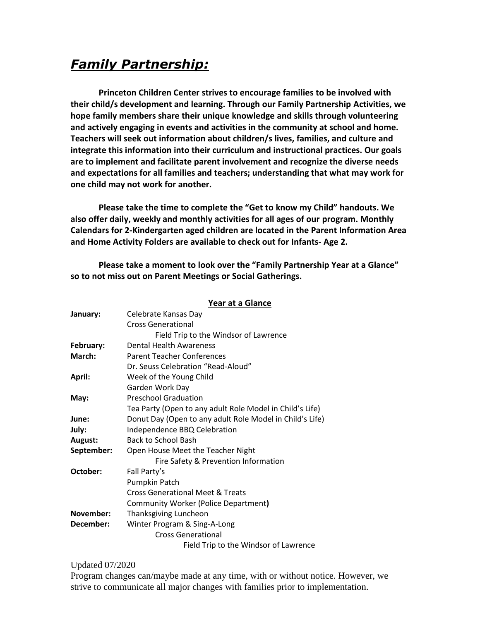## *Family Partnership:*

**Princeton Children Center strives to encourage families to be involved with their child/s development and learning. Through our Family Partnership Activities, we hope family members share their unique knowledge and skills through volunteering and actively engaging in events and activities in the community at school and home. Teachers will seek out information about children/s lives, families, and culture and integrate this information into their curriculum and instructional practices. Our goals are to implement and facilitate parent involvement and recognize the diverse needs and expectations for all families and teachers; understanding that what may work for one child may not work for another.** 

**Please take the time to complete the "Get to know my Child" handouts. We also offer daily, weekly and monthly activities for all ages of our program. Monthly Calendars for 2-Kindergarten aged children are located in the Parent Information Area and Home Activity Folders are available to check out for Infants- Age 2.** 

**Please take a moment to look over the "Family Partnership Year at a Glance" so to not miss out on Parent Meetings or Social Gatherings.** 

**Year at a Glance**

|            | <b>I cal at a Ulalite</b>                                |
|------------|----------------------------------------------------------|
| January:   | Celebrate Kansas Day                                     |
|            | <b>Cross Generational</b>                                |
|            | Field Trip to the Windsor of Lawrence                    |
| February:  | Dental Health Awareness                                  |
| March:     | <b>Parent Teacher Conferences</b>                        |
|            | Dr. Seuss Celebration "Read-Aloud"                       |
| April:     | Week of the Young Child                                  |
|            | Garden Work Day                                          |
| May:       | <b>Preschool Graduation</b>                              |
|            | Tea Party (Open to any adult Role Model in Child's Life) |
| June:      | Donut Day (Open to any adult Role Model in Child's Life) |
| July:      | Independence BBQ Celebration                             |
| August:    | <b>Back to School Bash</b>                               |
| September: | Open House Meet the Teacher Night                        |
|            | Fire Safety & Prevention Information                     |
| October:   | Fall Party's                                             |
|            | Pumpkin Patch                                            |
|            | Cross Generational Meet & Treats                         |
|            | Community Worker (Police Department)                     |
| November:  | Thanksgiving Luncheon                                    |
| December:  | Winter Program & Sing-A-Long                             |
|            | <b>Cross Generational</b>                                |
|            | Field Trip to the Windsor of Lawrence                    |

#### Updated 07/2020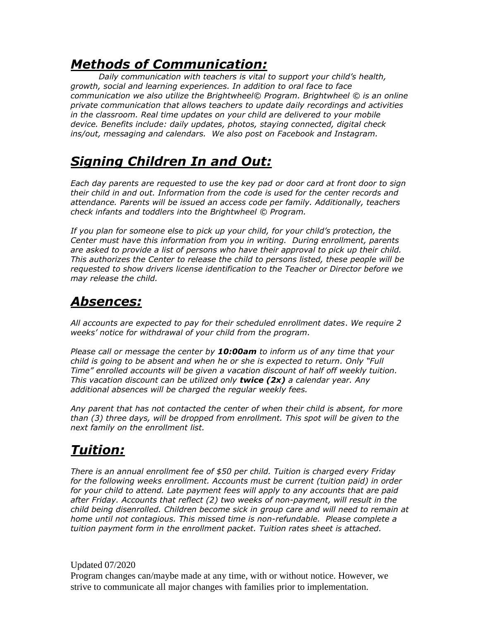# *Methods of Communication:*

*Daily communication with teachers is vital to support your child's health, growth, social and learning experiences. In addition to oral face to face communication we also utilize the Brightwheel© Program. Brightwheel © is an online private communication that allows teachers to update daily recordings and activities in the classroom. Real time updates on your child are delivered to your mobile device. Benefits include: daily updates, photos, staying connected, digital check ins/out, messaging and calendars. We also post on Facebook and Instagram.*

# *Signing Children In and Out:*

*Each day parents are requested to use the key pad or door card at front door to sign their child in and out. Information from the code is used for the center records and attendance. Parents will be issued an access code per family. Additionally, teachers check infants and toddlers into the Brightwheel © Program.*

*If you plan for someone else to pick up your child, for your child's protection, the Center must have this information from you in writing. During enrollment, parents are asked to provide a list of persons who have their approval to pick up their child. This authorizes the Center to release the child to persons listed, these people will be requested to show drivers license identification to the Teacher or Director before we may release the child.*

# *Absences:*

*All accounts are expected to pay for their scheduled enrollment dates*. *We require 2 weeks' notice for withdrawal of your child from the program.*

*Please call or message the center by 10:00am to inform us of any time that your child is going to be absent and when he or she is expected to return. Only "Full Time" enrolled accounts will be given a vacation discount of half off weekly tuition. This vacation discount can be utilized only twice (2x) a calendar year. Any additional absences will be charged the regular weekly fees.*

*Any parent that has not contacted the center of when their child is absent, for more than (3) three days, will be dropped from enrollment. This spot will be given to the next family on the enrollment list.* 

# *Tuition:*

*There is an annual enrollment fee of \$50 per child. Tuition is charged every Friday for the following weeks enrollment. Accounts must be current (tuition paid) in order for your child to attend. Late payment fees will apply to any accounts that are paid after Friday. Accounts that reflect (2) two weeks of non-payment, will result in the child being disenrolled. Children become sick in group care and will need to remain at home until not contagious. This missed time is non-refundable. Please complete a tuition payment form in the enrollment packet. Tuition rates sheet is attached.* 

Updated 07/2020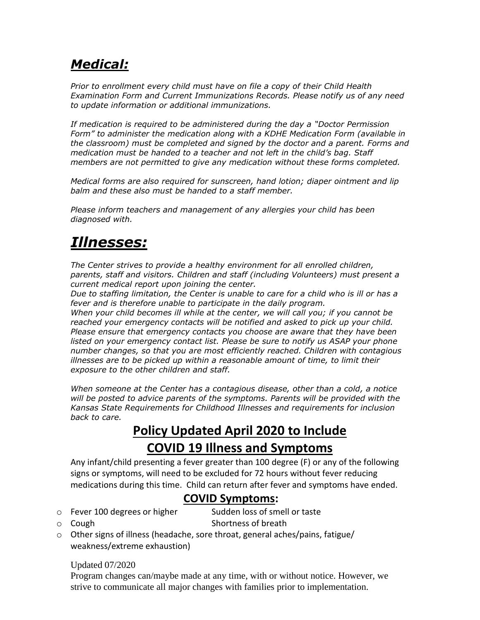# *Medical:*

*Prior to enrollment every child must have on file a copy of their Child Health Examination Form and Current Immunizations Records. Please notify us of any need to update information or additional immunizations.*

*If medication is required to be administered during the day a "Doctor Permission Form" to administer the medication along with a KDHE Medication Form (available in the classroom) must be completed and signed by the doctor and a parent. Forms and medication must be handed to a teacher and not left in the child's bag. Staff members are not permitted to give any medication without these forms completed.*

*Medical forms are also required for sunscreen, hand lotion; diaper ointment and lip balm and these also must be handed to a staff member.*

*Please inform teachers and management of any allergies your child has been diagnosed with.*

# *Illnesses:*

*The Center strives to provide a healthy environment for all enrolled children, parents, staff and visitors. Children and staff (including Volunteers) must present a current medical report upon joining the center.*

*Due to staffing limitation, the Center is unable to care for a child who is ill or has a fever and is therefore unable to participate in the daily program.*

*When your child becomes ill while at the center, we will call you; if you cannot be reached your emergency contacts will be notified and asked to pick up your child. Please ensure that emergency contacts you choose are aware that they have been*  listed on your emergency contact list. Please be sure to notify us ASAP your phone *number changes, so that you are most efficiently reached. Children with contagious illnesses are to be picked up within a reasonable amount of time, to limit their exposure to the other children and staff.*

*When someone at the Center has a contagious disease, other than a cold, a notice will be posted to advice parents of the symptoms. Parents will be provided with the Kansas State Requirements for Childhood Illnesses and requirements for inclusion back to care.*

# **Policy Updated April 2020 to Include COVID 19 Illness and Symptoms**

Any infant/child presenting a fever greater than 100 degree (F) or any of the following signs or symptoms, will need to be excluded for 72 hours without fever reducing medications during this time. Child can return after fever and symptoms have ended.

### **COVID Symptoms:**

o Fever 100 degrees or higher Sudden loss of smell or taste

o Cough Shortness of breath

 $\circ$  Other signs of illness (headache, sore throat, general aches/pains, fatigue/ weakness/extreme exhaustion)

### Updated 07/2020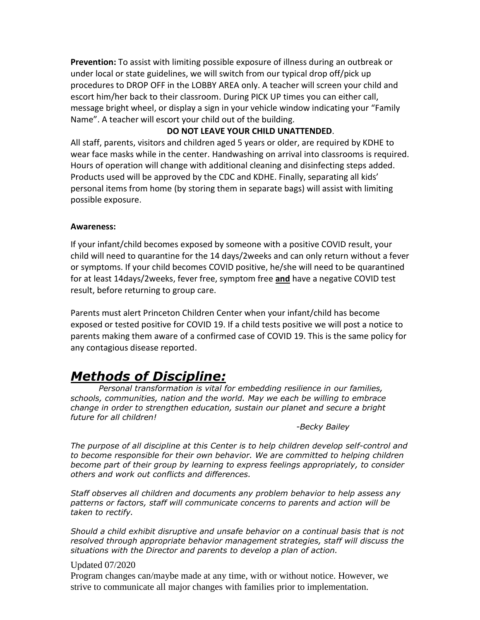**Prevention:** To assist with limiting possible exposure of illness during an outbreak or under local or state guidelines, we will switch from our typical drop off/pick up procedures to DROP OFF in the LOBBY AREA only. A teacher will screen your child and escort him/her back to their classroom. During PICK UP times you can either call, message bright wheel, or display a sign in your vehicle window indicating your "Family Name". A teacher will escort your child out of the building.

### **DO NOT LEAVE YOUR CHILD UNATTENDED**.

All staff, parents, visitors and children aged 5 years or older, are required by KDHE to wear face masks while in the center. Handwashing on arrival into classrooms is required. Hours of operation will change with additional cleaning and disinfecting steps added. Products used will be approved by the CDC and KDHE. Finally, separating all kids' personal items from home (by storing them in separate bags) will assist with limiting possible exposure.

#### **Awareness:**

If your infant/child becomes exposed by someone with a positive COVID result, your child will need to quarantine for the 14 days/2weeks and can only return without a fever or symptoms. If your child becomes COVID positive, he/she will need to be quarantined for at least 14days/2weeks, fever free, symptom free **and** have a negative COVID test result, before returning to group care.

Parents must alert Princeton Children Center when your infant/child has become exposed or tested positive for COVID 19. If a child tests positive we will post a notice to parents making them aware of a confirmed case of COVID 19. This is the same policy for any contagious disease reported.

### *Methods of Discipline:*

*Personal transformation is vital for embedding resilience in our families, schools, communities, nation and the world. May we each be willing to embrace change in order to strengthen education, sustain our planet and secure a bright future for all children!*

*-Becky Bailey*

*The purpose of all discipline at this Center is to help children develop self-control and to become responsible for their own behavior. We are committed to helping children become part of their group by learning to express feelings appropriately, to consider others and work out conflicts and differences.*

*Staff observes all children and documents any problem behavior to help assess any patterns or factors, staff will communicate concerns to parents and action will be taken to rectify.*

*Should a child exhibit disruptive and unsafe behavior on a continual basis that is not resolved through appropriate behavior management strategies, staff will discuss the situations with the Director and parents to develop a plan of action.*

#### Updated 07/2020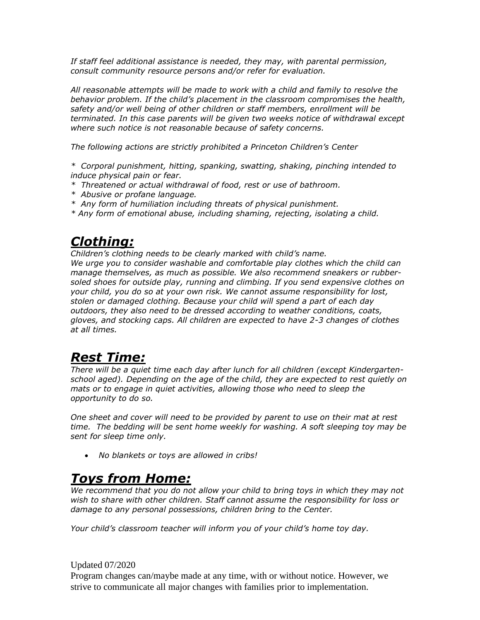*If staff feel additional assistance is needed, they may, with parental permission, consult community resource persons and/or refer for evaluation.*

*All reasonable attempts will be made to work with a child and family to resolve the behavior problem. If the child's placement in the classroom compromises the health, safety and/or well being of other children or staff members, enrollment will be terminated. In this case parents will be given two weeks notice of withdrawal except where such notice is not reasonable because of safety concerns.*

*The following actions are strictly prohibited a Princeton Children's Center*

*\* Corporal punishment, hitting, spanking, swatting, shaking, pinching intended to induce physical pain or fear.*

- *\* Threatened or actual withdrawal of food, rest or use of bathroom.*
- *\* Abusive or profane language.*
- *\* Any form of humiliation including threats of physical punishment.*
- *\* Any form of emotional abuse, including shaming, rejecting, isolating a child.*

### *Clothing:*

*Children's clothing needs to be clearly marked with child's name. We urge you to consider washable and comfortable play clothes which the child can* 

*manage themselves, as much as possible. We also recommend sneakers or rubbersoled shoes for outside play, running and climbing. If you send expensive clothes on your child, you do so at your own risk. We cannot assume responsibility for lost, stolen or damaged clothing. Because your child will spend a part of each day outdoors, they also need to be dressed according to weather conditions, coats, gloves, and stocking caps. All children are expected to have 2-3 changes of clothes at all times.* 

## *Rest Time:*

*There will be a quiet time each day after lunch for all children (except Kindergartenschool aged). Depending on the age of the child, they are expected to rest quietly on mats or to engage in quiet activities, allowing those who need to sleep the opportunity to do so.*

*One sheet and cover will need to be provided by parent to use on their mat at rest time. The bedding will be sent home weekly for washing. A soft sleeping toy may be sent for sleep time only.*

• *No blankets or toys are allowed in cribs!*

### *Toys from Home:*

*We recommend that you do not allow your child to bring toys in which they may not wish to share with other children. Staff cannot assume the responsibility for loss or damage to any personal possessions, children bring to the Center.*

*Your child's classroom teacher will inform you of your child's home toy day.*

#### Updated 07/2020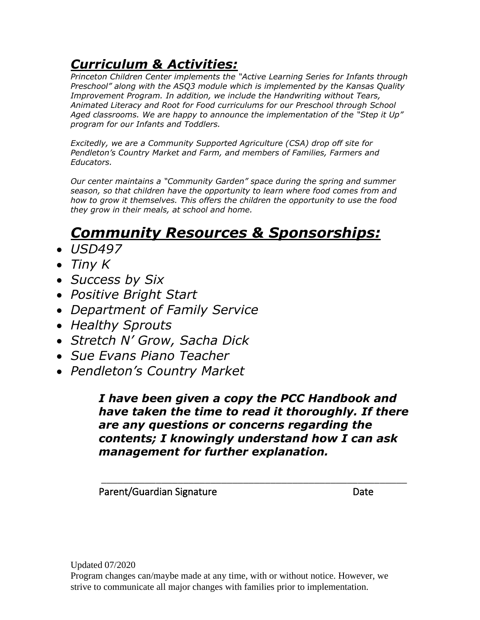# *Curriculum & Activities:*

*Princeton Children Center implements the "Active Learning Series for Infants through Preschool" along with the ASQ3 module which is implemented by the Kansas Quality Improvement Program. In addition, we include the Handwriting without Tears, Animated Literacy and Root for Food curriculums for our Preschool through School Aged classrooms. We are happy to announce the implementation of the "Step it Up" program for our Infants and Toddlers.* 

*Excitedly, we are a Community Supported Agriculture (CSA) drop off site for Pendleton's Country Market and Farm, and members of Families, Farmers and Educators.*

*Our center maintains a "Community Garden" space during the spring and summer season, so that children have the opportunity to learn where food comes from and how to grow it themselves. This offers the children the opportunity to use the food they grow in their meals, at school and home.* 

# *Community Resources & Sponsorships:*

- *USD497*
- *Tiny K*
- *Success by Six*
- *Positive Bright Start*
- *Department of Family Service*
- *Healthy Sprouts*
- *Stretch N' Grow, Sacha Dick*
- *Sue Evans Piano Teacher*
- *Pendleton's Country Market*

*I have been given a copy the PCC Handbook and have taken the time to read it thoroughly. If there are any questions or concerns regarding the contents; I knowingly understand how I can ask management for further explanation.* 

\_\_\_\_\_\_\_\_\_\_\_\_\_\_\_\_\_\_\_\_\_\_\_\_\_\_\_\_\_\_\_\_\_\_\_\_\_\_\_\_\_\_\_\_\_\_\_\_\_\_\_\_\_\_\_\_

Parent/Guardian Signature Date